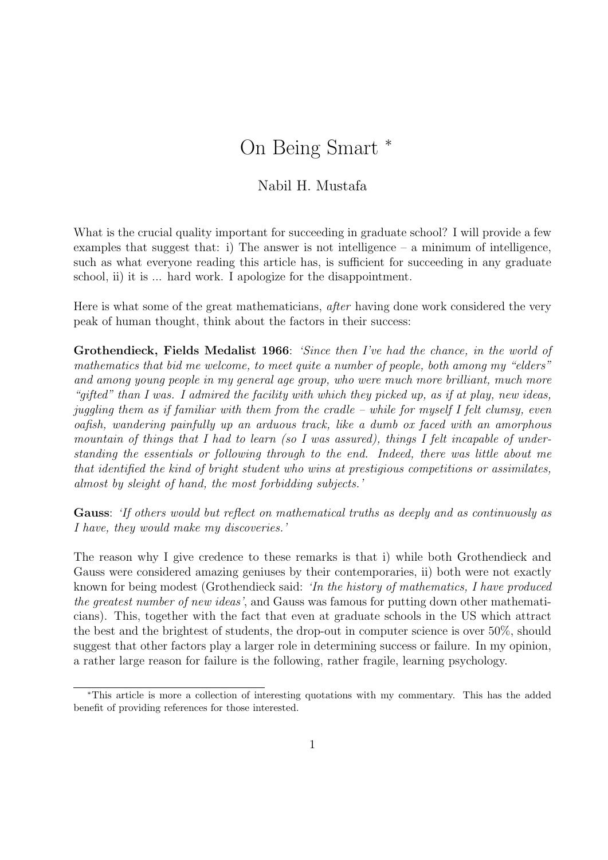## On Being Smart <sup>∗</sup>

## Nabil H. Mustafa

What is the crucial quality important for succeeding in graduate school? I will provide a few examples that suggest that: i) The answer is not intelligence – a minimum of intelligence, such as what everyone reading this article has, is sufficient for succeeding in any graduate school, ii) it is ... hard work. I apologize for the disappointment.

Here is what some of the great mathematicians, after having done work considered the very peak of human thought, think about the factors in their success:

Grothendieck, Fields Medalist 1966: 'Since then I've had the chance, in the world of mathematics that bid me welcome, to meet quite a number of people, both among my "elders" and among young people in my general age group, who were much more brilliant, much more "gifted" than I was. I admired the facility with which they picked up, as if at play, new ideas, juggling them as if familiar with them from the cradle – while for myself I felt clumsy, even oafish, wandering painfully up an arduous track, like a dumb ox faced with an amorphous mountain of things that I had to learn (so I was assured), things I felt incapable of understanding the essentials or following through to the end. Indeed, there was little about me that identified the kind of bright student who wins at prestigious competitions or assimilates, almost by sleight of hand, the most forbidding subjects.'

Gauss: 'If others would but reflect on mathematical truths as deeply and as continuously as I have, they would make my discoveries.'

The reason why I give credence to these remarks is that i) while both Grothendieck and Gauss were considered amazing geniuses by their contemporaries, ii) both were not exactly known for being modest (Grothendieck said: 'In the history of mathematics, I have produced the greatest number of new ideas', and Gauss was famous for putting down other mathematicians). This, together with the fact that even at graduate schools in the US which attract the best and the brightest of students, the drop-out in computer science is over 50%, should suggest that other factors play a larger role in determining success or failure. In my opinion, a rather large reason for failure is the following, rather fragile, learning psychology.

<sup>∗</sup>This article is more a collection of interesting quotations with my commentary. This has the added benefit of providing references for those interested.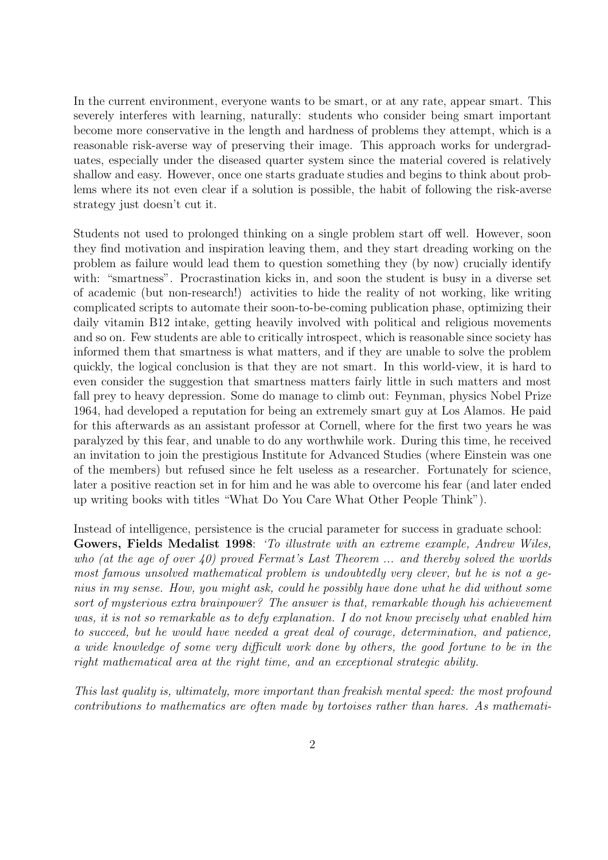In the current environment, everyone wants to be smart, or at any rate, appear smart. This severely interferes with learning, naturally: students who consider being smart important become more conservative in the length and hardness of problems they attempt, which is a reasonable risk-averse way of preserving their image. This approach works for undergraduates, especially under the diseased quarter system since the material covered is relatively shallow and easy. However, once one starts graduate studies and begins to think about problems where its not even clear if a solution is possible, the habit of following the risk-averse strategy just doesn't cut it.

Students not used to prolonged thinking on a single problem start off well. However, soon they find motivation and inspiration leaving them, and they start dreading working on the problem as failure would lead them to question something they (by now) crucially identify with: "smartness". Procrastination kicks in, and soon the student is busy in a diverse set of academic (but non-research!) activities to hide the reality of not working, like writing complicated scripts to automate their soon-to-be-coming publication phase, optimizing their daily vitamin B12 intake, getting heavily involved with political and religious movements and so on. Few students are able to critically introspect, which is reasonable since society has informed them that smartness is what matters, and if they are unable to solve the problem quickly, the logical conclusion is that they are not smart. In this world-view, it is hard to even consider the suggestion that smartness matters fairly little in such matters and most fall prey to heavy depression. Some do manage to climb out: Feynman, physics Nobel Prize 1964, had developed a reputation for being an extremely smart guy at Los Alamos. He paid for this afterwards as an assistant professor at Cornell, where for the first two years he was paralyzed by this fear, and unable to do any worthwhile work. During this time, he received an invitation to join the prestigious Institute for Advanced Studies (where Einstein was one of the members) but refused since he felt useless as a researcher. Fortunately for science, later a positive reaction set in for him and he was able to overcome his fear (and later ended up writing books with titles "What Do You Care What Other People Think").

Instead of intelligence, persistence is the crucial parameter for success in graduate school: Gowers, Fields Medalist 1998: 'To illustrate with an extreme example, Andrew Wiles, who (at the age of over 40) proved Fermat's Last Theorem  $\ldots$  and thereby solved the worlds most famous unsolved mathematical problem is undoubtedly very clever, but he is not a genius in my sense. How, you might ask, could he possibly have done what he did without some sort of mysterious extra brainpower? The answer is that, remarkable though his achievement was, it is not so remarkable as to defy explanation. I do not know precisely what enabled him to succeed, but he would have needed a great deal of courage, determination, and patience, a wide knowledge of some very difficult work done by others, the good fortune to be in the right mathematical area at the right time, and an exceptional strategic ability.

This last quality is, ultimately, more important than freakish mental speed: the most profound contributions to mathematics are often made by tortoises rather than hares. As mathemati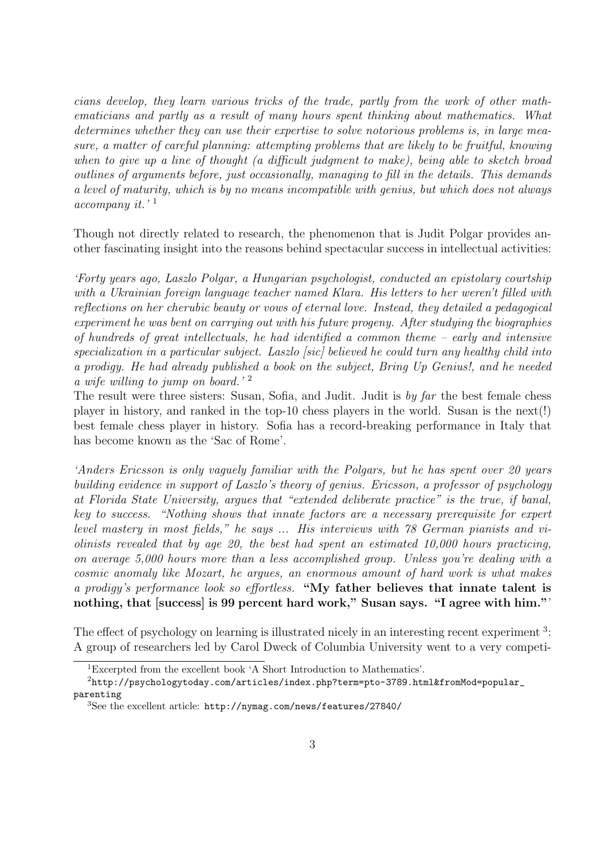cians develop, they learn various tricks of the trade, partly from the work of other mathematicians and partly as a result of many hours spent thinking about mathematics. What determines whether they can use their expertise to solve notorious problems is, in large measure, a matter of careful planning: attempting problems that are likely to be fruitful, knowing when to give up a line of thought (a difficult judgment to make), being able to sketch broad outlines of arguments before, just occasionally, managing to fill in the details. This demands a level of maturity, which is by no means incompatible with genius, but which does not always accompany it.' <sup>1</sup>

Though not directly related to research, the phenomenon that is Judit Polgar provides another fascinating insight into the reasons behind spectacular success in intellectual activities:

'Forty years ago, Laszlo Polgar, a Hungarian psychologist, conducted an epistolary courtship with a Ukrainian foreign language teacher named Klara. His letters to her weren't filled with reflections on her cherubic beauty or vows of eternal love. Instead, they detailed a pedagogical experiment he was bent on carrying out with his future progeny. After studying the biographies of hundreds of great intellectuals, he had identified a common theme – early and intensive specialization in a particular subject. Laszlo [sic] believed he could turn any healthy child into a prodigy. He had already published a book on the subject, Bring Up Genius!, and he needed a wife willing to jump on board.<sup>'2</sup>

The result were three sisters: Susan, Sofia, and Judit. Judit is by far the best female chess player in history, and ranked in the top-10 chess players in the world. Susan is the next(!) best female chess player in history. Sofia has a record-breaking performance in Italy that has become known as the 'Sac of Rome'.

'Anders Ericsson is only vaguely familiar with the Polgars, but he has spent over 20 years building evidence in support of Laszlo's theory of genius. Ericsson, a professor of psychology at Florida State University, argues that "extended deliberate practice" is the true, if banal, key to success. "Nothing shows that innate factors are a necessary prerequisite for expert level mastery in most fields," he says ... His interviews with 78 German pianists and violinists revealed that by age 20, the best had spent an estimated 10,000 hours practicing, on average 5,000 hours more than a less accomplished group. Unless you're dealing with a cosmic anomaly like Mozart, he argues, an enormous amount of hard work is what makes a prodigy's performance look so effortless. "My father believes that innate talent is nothing, that [success] is 99 percent hard work," Susan says. "I agree with him."

The effect of psychology on learning is illustrated nicely in an interesting recent experiment<sup>3</sup>: A group of researchers led by Carol Dweck of Columbia University went to a very competi-

<sup>1</sup>Excerpted from the excellent book 'A Short Introduction to Mathematics'.

<sup>2</sup>http://psychologytoday.com/articles/index.php?term=pto-3789.html&fromMod=popular\_ parenting

<sup>3</sup>See the excellent article: http://nymag.com/news/features/27840/